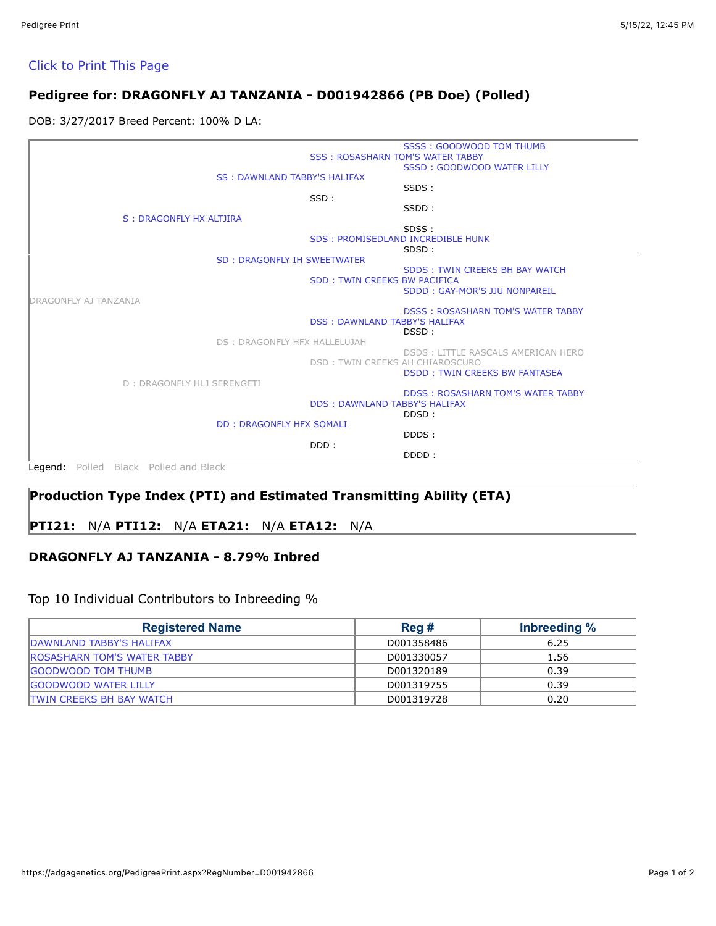#### [Click to Print This Page](javascript:window.print())

## **Pedigree for: DRAGONFLY AJ TANZANIA - D001942866 (PB Doe) (Polled)**

DOB: 3/27/2017 Breed Percent: 100% D LA:

|                                       |                                         | SSSS: GOODWOOD TOM THUMB                 |
|---------------------------------------|-----------------------------------------|------------------------------------------|
|                                       | <b>SSS: ROSASHARN TOM'S WATER TABBY</b> |                                          |
|                                       |                                         | SSSD: GOODWOOD WATER LILLY               |
| <b>SS: DAWNLAND TABBY'S HALIFAX</b>   |                                         |                                          |
|                                       |                                         | SSDS:                                    |
|                                       | SSD:                                    |                                          |
|                                       |                                         | SSDD:                                    |
| S : DRAGONFLY HX ALTJIRA              |                                         |                                          |
|                                       |                                         | SDSS:                                    |
|                                       |                                         | <b>SDS: PROMISEDLAND INCREDIBLE HUNK</b> |
|                                       |                                         | SDSD:                                    |
| <b>SD: DRAGONFLY IH SWEETWATER</b>    |                                         |                                          |
|                                       | <b>SDD: TWIN CREEKS BW PACIFICA</b>     | SDDS: TWIN CREEKS BH BAY WATCH           |
|                                       |                                         | SDDD: GAY-MOR'S JJU NONPAREIL            |
| DRAGONFLY AJ TANZANIA                 |                                         |                                          |
|                                       |                                         | <b>DSSS: ROSASHARN TOM'S WATER TABBY</b> |
|                                       | <b>DSS: DAWNLAND TABBY'S HALIFAX</b>    |                                          |
|                                       |                                         | DSSD:                                    |
| <b>DS: DRAGONFLY HFX HALLELUJAH</b>   |                                         |                                          |
|                                       |                                         | DSDS: LITTLE RASCALS AMERICAN HERO       |
|                                       | DSD: TWIN CREEKS AH CHIAROSCURO         |                                          |
|                                       |                                         | <b>DSDD: TWIN CREEKS BW FANTASEA</b>     |
| D: DRAGONFLY HLJ SERENGETI            |                                         |                                          |
|                                       |                                         | <b>DDSS: ROSASHARN TOM'S WATER TABBY</b> |
|                                       | <b>DDS: DAWNLAND TABBY'S HALIFAX</b>    |                                          |
|                                       |                                         | DDSD:                                    |
| <b>DD: DRAGONFLY HFX SOMALI</b>       |                                         | DDDS:                                    |
|                                       | DDD:                                    |                                          |
|                                       |                                         | DDDD:                                    |
|                                       |                                         |                                          |
| Legend: Polled Black Polled and Black |                                         |                                          |

## **Production Type Index (PTI) and Estimated Transmitting Ability (ETA)**

## **PTI21:** N/A **PTI12:** N/A **ETA21:** N/A **ETA12:** N/A

## **DRAGONFLY AJ TANZANIA - 8.79% Inbred**

#### Top 10 Individual Contributors to Inbreeding %

| <b>Registered Name</b>              | Reg #      | Inbreeding % |
|-------------------------------------|------------|--------------|
| DAWNLAND TABBY'S HALIFAX            | D001358486 | 6.25         |
| <b>IROSASHARN TOM'S WATER TABBY</b> | D001330057 | 1.56         |
| <b>IGOODWOOD TOM THUMB</b>          | D001320189 | 0.39         |
| <b>IGOODWOOD WATER LILLY</b>        | D001319755 | 0.39         |
| <b>ITWIN CREEKS BH BAY WATCH</b>    | D001319728 | 0.20         |